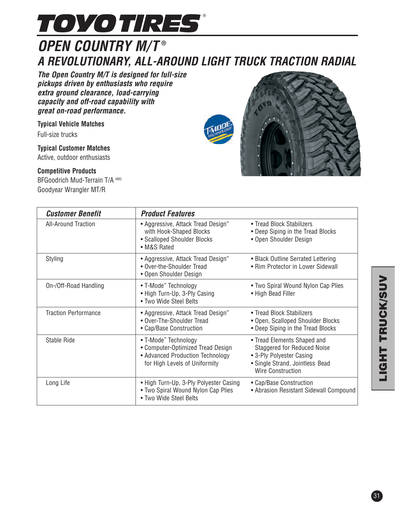

## **OPEN COUNTRY M/T ® A REVOLUTIONARY, ALL-AROUND LIGHT TRUCK TRACTION RADIAL**

**The Open Country M/T is designed for full-size pickups driven by enthusiasts who require extra ground clearance, load-carrying capacity and off-road capability with great on-road performance.**

**Typical Vehicle Matches**

Full-size trucks

**Typical Customer Matches**

Active, outdoor enthusiasts

## **Competitive Products**

BFGoodrich Mud-Terrain T/A KM2 Goodyear Wrangler MT/R



| <b>Customer Benefit</b>     | <b>Product Features</b>                                                                                                                    |                                                                                                                                                              |  |  |  |  |
|-----------------------------|--------------------------------------------------------------------------------------------------------------------------------------------|--------------------------------------------------------------------------------------------------------------------------------------------------------------|--|--|--|--|
| <b>All-Around Traction</b>  | ● Aggressive, Attack Tread Design <sup>™</sup><br>with Hook-Shaped Blocks<br>• Scalloped Shoulder Blocks<br>• M&S Rated                    | • Tread Block Stabilizers<br>• Deep Siping in the Tread Blocks<br>• Open Shoulder Design                                                                     |  |  |  |  |
| Styling                     | ● Aggressive, Attack Tread Design <sup>™</sup><br>• Over-the-Shoulder Tread<br>• Open Shoulder Design                                      | • Black Outline Serrated Lettering<br>• Rim Protector in Lower Sidewall                                                                                      |  |  |  |  |
| On-/Off-Road Handling       | • T-Mode <sup>™</sup> Technology<br>• High Turn-Up, 3-Ply Casing<br>• Two Wide Steel Belts                                                 | • Two Spiral Wound Nylon Cap Plies<br>• High Bead Filler                                                                                                     |  |  |  |  |
| <b>Traction Performance</b> | ● Aggressive, Attack Tread Design <sup>™</sup><br>• Over-The-Shoulder Tread<br>• Cap/Base Construction                                     | • Tread Block Stabilizers<br>• Open, Scalloped Shoulder Blocks<br>• Deep Siping in the Tread Blocks                                                          |  |  |  |  |
| Stable Ride                 | • T-Mode <sup>™</sup> Technology<br>• Computer-Optimized Tread Design<br>• Advanced Production Technology<br>for High Levels of Uniformity | • Tread Elements Shaped and<br><b>Staggered for Reduced Noise</b><br>• 3-Ply Polyester Casing<br>• Single Strand, Jointless Bead<br><b>Wire Construction</b> |  |  |  |  |
| Long Life                   | • High Turn-Up, 3-Ply Polyester Casing<br>• Two Spiral Wound Nylon Cap Plies<br>• Two Wide Steel Belts                                     | • Cap/Base Construction<br>• Abrasion Resistant Sidewall Compound                                                                                            |  |  |  |  |